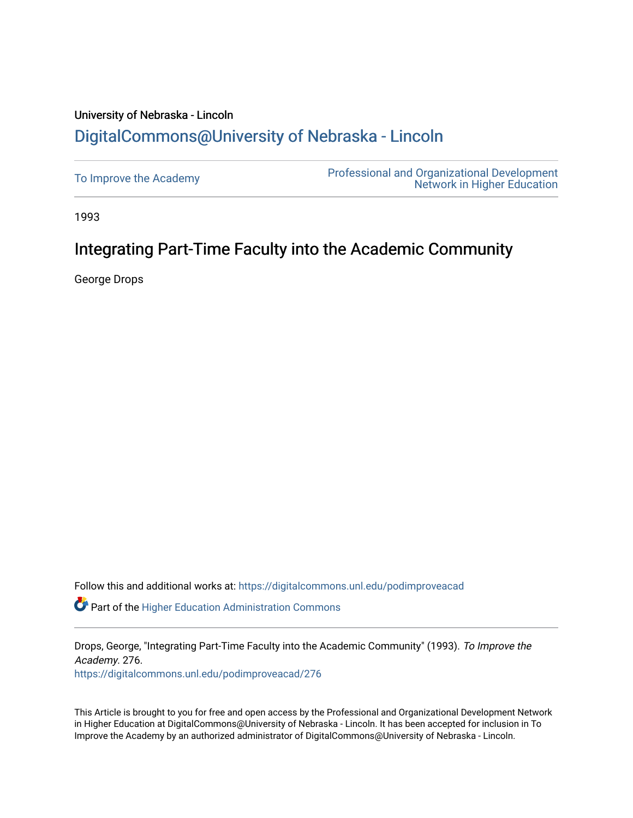# University of Nebraska - Lincoln [DigitalCommons@University of Nebraska - Lincoln](https://digitalcommons.unl.edu/)

| To Improve the Academy | <b>Professional and Organizational Development</b><br><b>Network in Higher Education</b> |
|------------------------|------------------------------------------------------------------------------------------|
|------------------------|------------------------------------------------------------------------------------------|

1993

# Integrating Part-Time Faculty into the Academic Community

George Drops

Follow this and additional works at: [https://digitalcommons.unl.edu/podimproveacad](https://digitalcommons.unl.edu/podimproveacad?utm_source=digitalcommons.unl.edu%2Fpodimproveacad%2F276&utm_medium=PDF&utm_campaign=PDFCoverPages)

Part of the [Higher Education Administration Commons](http://network.bepress.com/hgg/discipline/791?utm_source=digitalcommons.unl.edu%2Fpodimproveacad%2F276&utm_medium=PDF&utm_campaign=PDFCoverPages) 

Drops, George, "Integrating Part-Time Faculty into the Academic Community" (1993). To Improve the Academy. 276.

[https://digitalcommons.unl.edu/podimproveacad/276](https://digitalcommons.unl.edu/podimproveacad/276?utm_source=digitalcommons.unl.edu%2Fpodimproveacad%2F276&utm_medium=PDF&utm_campaign=PDFCoverPages)

This Article is brought to you for free and open access by the Professional and Organizational Development Network in Higher Education at DigitalCommons@University of Nebraska - Lincoln. It has been accepted for inclusion in To Improve the Academy by an authorized administrator of DigitalCommons@University of Nebraska - Lincoln.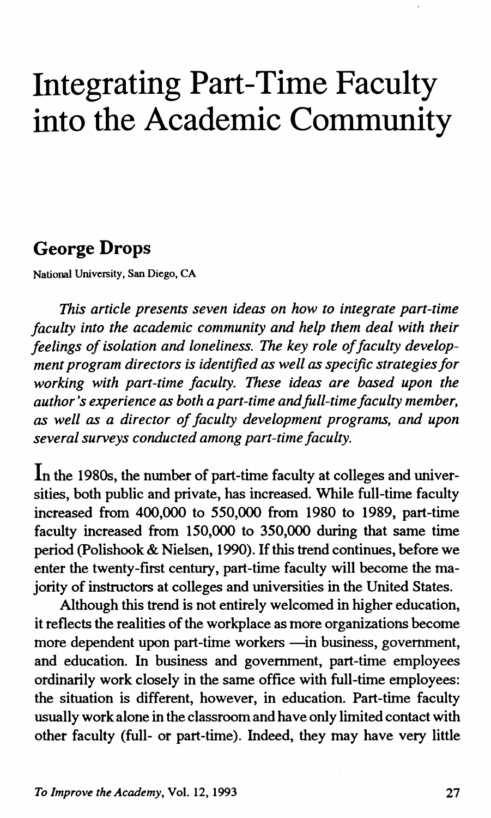# **Integrating Part-Time Faculty into the Academic Community**

#### **George Drops**

National University, San Diego, CA

*This article presents seven ideas on how to integrate part-time faculty into the academic community and help them deal with their feelings of isolation and loneliness. The key role of faculty development program directors is identified as well as specific strategies for working with part-time faculty. These ideas are based upon the author's experience as both a part-time and full-time faculty member, as well as a director of faculty development programs, and upon several surveys conducted among part-time faculty.* 

In the 1980s, the number of part-time faculty at colleges and universities, both public and private, has increased. While full-time faculty increased from 400,000 to *550,000* from 1980 to 1989, part-time faculty increased from 150,000 to 350,000 during that same time period (Polishook & Nielsen, 1990). If this trend continues, before we enter the twenty-first century, part-time faculty will become the majority of instructors at colleges and universities in the United States.

Although this trend is not entirely welcomed in higher education, it reflects the realities of the workplace as more organizations become more dependent upon part-time workers -in business, government, and education. In business and government, part-time employees ordinarily work closely in the same office with full-time employees: the situation is different, however, in education. Part-time faculty usually work alone in the classroom and have only limited contact with other faculty (full- or part-time). Indeed, they may have very little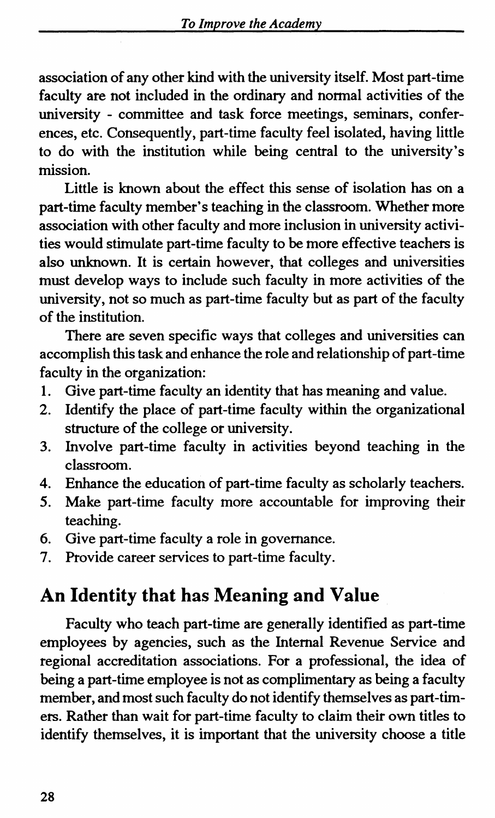association of any other kind with the university itself. Most part-time faculty are not included in the ordinary and normal activities of the university - committee and task force meetings, seminars, conferences, etc. Consequently, part-time faculty feel isolated, having little to do with the institution while being central to the university's mission.

Little is known about the effect this sense of isolation has on a part-time faculty member's teaching in the classroom. Whether more association with other faculty and more inclusion in university activities would stimulate part-time faculty to be more effective teachers is also unknown. It is certain however, that colleges and universities must develop ways to include such faculty in more activities of the university, not so much as part-time faculty but as part of the faculty of the institution.

There are seven specific ways that colleges and universities can accomplish this task and enhance the role and relationship of part-time faculty in the organization:

- 1. Give part-time faculty an identity that has meaning and value.
- 2. Identify the place of part-time faculty within the organizational structure of the college or university.
- 3. Involve part-time faculty in activities beyond teaching in the classroom.
- 4. Enhance the education of part-time faculty as scholarly teachers.
- 5. Make part-time faculty more accountable for improving their teaching.
- 6. Give part-time faculty a role in governance.
- 7. Provide career services to part-time faculty.

#### **An Identity that has Meaning and Value**

Faculty who teach part-time are generally identified as part-time employees by agencies, such as the Internal Revenue Service and regional accreditation associations. For a professional, the idea of being a part-time employee is not as complimentary as being a faculty member, and most such faculty do not identify themselves as part-timers. Rather than wait for part-time faculty to claim their own titles to identify themselves, it is important that the university choose a title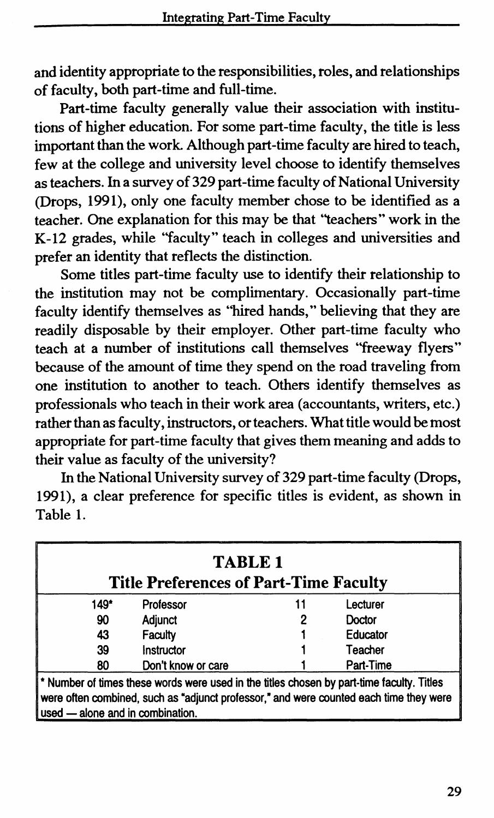and identity appropriate to the responsibilities, roles, and relationships of faculty, both part-time and full-time.

Part-time faculty generally value their association with institutions of higher education. For some part-time faculty, the title is less important than the work. Although part -time faculty are hired to teach, few at the college and university level choose to identify themselves as teachers. In a survey of 329 part-time faculty of National University (Drops, 1991), only one faculty member chose to be identified as a teacher. One explanation for this may be that "teachers" work in the K-12 grades, while "faculty" teach in colleges and universities and prefer an identity that reflects the distinction.

Some titles part-time faculty use to identify their relationship to the institution may not be complimentary. Occasionally part-time faculty identify themselves as ''hired hands," believing that they are readily disposable by their employer. Other part-time faculty who teach at a number of institutions call themselves "freeway flyers" because of the amount of time they spend on the road traveling from one institution to another to teach. Others identify themselves as professionals who teach in their work area (accountants, writers, etc.) rather than as faculty, instructors, or teachers. What title would be most appropriate for part-time faculty that gives them meaning and adds to their value as faculty of the university?

In the National University survey of 329 part-time faculty (Drops, 1991), a clear preference for specific titles is evident, as shown in Table 1.

| <b>TABLE 1</b><br><b>Title Preferences of Part-Time Faculty</b>                                                                                                                                                         |                    |    |           |  |
|-------------------------------------------------------------------------------------------------------------------------------------------------------------------------------------------------------------------------|--------------------|----|-----------|--|
| 149*                                                                                                                                                                                                                    | Professor          | 11 | Lecturer  |  |
| 90                                                                                                                                                                                                                      | Adjunct            | 2  | Doctor    |  |
| 43                                                                                                                                                                                                                      | Faculty            |    | Educator  |  |
| 39                                                                                                                                                                                                                      | Instructor         |    | Teacher   |  |
| 80                                                                                                                                                                                                                      | Don't know or care |    | Part-Time |  |
| * Number of times these words were used in the titles chosen by part-time faculty. Titles<br>were often combined, such as "adjunct professor," and were counted each time they were<br>used - alone and in combination. |                    |    |           |  |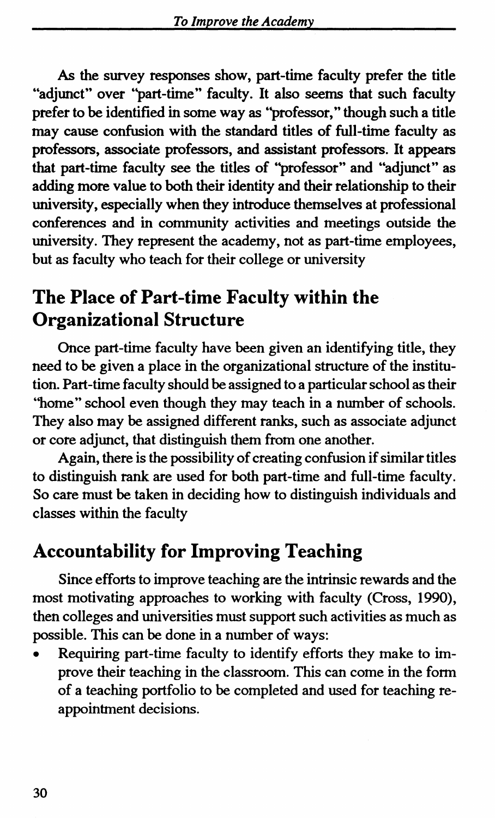As the survey responses show, part-time faculty prefer the title "adjunct" over "part-time" faculty. It also seems that such faculty prefer to be identified in some way as ''professor," though such a title may cause confusion with the standard titles of full-time faculty as professors, associate professors, and assistant professors. It appears that part-time faculty see the titles of ''professor" and "adjunct" as adding more value to both their identity and their relationship to their university, especially when they introduce themselves at professional conferences and in community activities and meetings outside the university. They represent the academy, not as part-time employees, but as faculty who teach for their college or university

## **The Place of Part-time Faculty within the Organizational Structure**

Once part-time faculty have been given an identifying title, they need to be given a place in the organizational structure of the institution. Part-time faculty should be assigned to a particular school as their "home" school even though they may teach in a number of schools. They also may be assigned different ranks, such as associate adjunct or core adjunct, that distinguish them from one another.

Again, there is the possibility of creating confusion if similar titles to distinguish rank are used for both part-time and full-time faculty. So care must be taken in deciding how to distinguish individuals and classes within the faculty

#### **Accountability for Improving Teaching**

Since efforts to improve teaching are the intrinsic rewards and the most motivating approaches to working with faculty (Cross, 1990), then colleges and universities must support such activities as much as possible. This can be done in a number of ways:

Requiring part-time faculty to identify efforts they make to improve their teaching in the classroom. This can come in the form of a teaching portfolio to be completed and used for teaching reappointment decisions.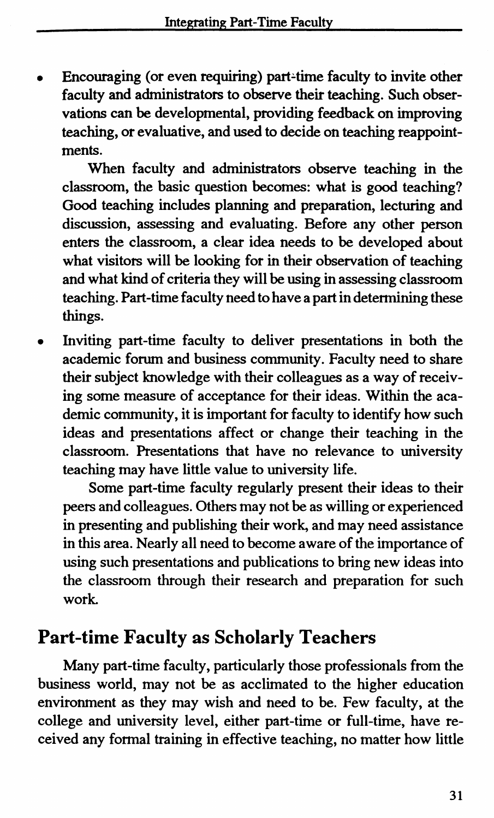Encouraging (or even requiring) part-time faculty to invite other faculty and administrators to observe their teaching. Such observations can be developmental, providing feedback on improving teaching, or evaluative, and used to decide on teaching reappointments.

When faculty and administrators observe teaching in the classroom, the basic question becomes: what is good teaching? Good teaching includes planning and preparation, lecturing and discussion, assessing and evaluating. Before any other person enters the classroom, a clear idea needs to be developed about what visitors will be looking for in their observation of teaching and what kind of criteria they will be using in assessing classroom teaching. Part-time faculty need to have a part in determining these things.

• Inviting part-time faculty to deliver presentations in both the academic forum and business community. Faculty need to share their subject knowledge with their colleagues as a way of receiving some measure of acceptance for their ideas. Within the academic community, it is important for faculty to identify how such ideas and presentations affect or change their teaching in the classroom. Presentations that have no relevance to university teaching may have little value to university life.

Some part-time faculty regularly present their ideas to their peers and colleagues. Others may not be as willing or experienced in presenting and publishing their work, and may need assistance in this area. Nearly all need to become aware of the importance of using such presentations and publications to bring new ideas into the classroom through their research and preparation for such work.

#### **Part-time Faculty as Scholarly Teachers**

Many part -time faculty, particularly those professionals from the business world, may not be as acclimated to the higher education environment as they may wish and need to be. Few faculty, at the college and university level, either part-time or full-time, have received any formal training in effective teaching, no matter how little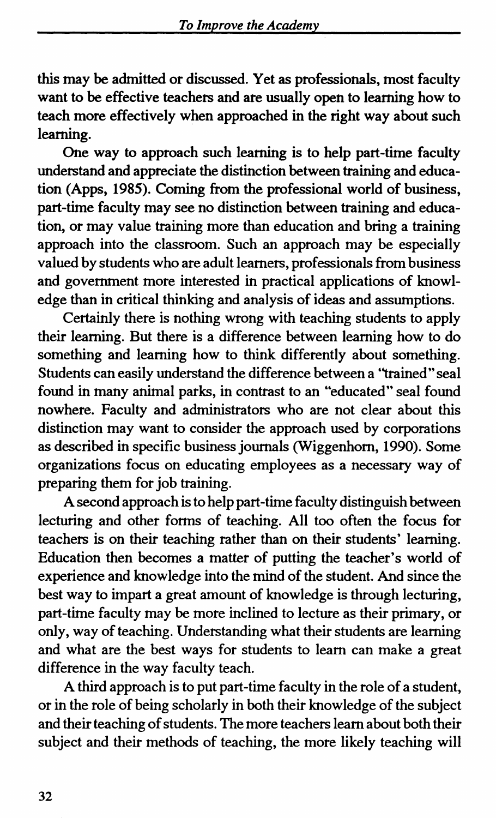this may be admitted or discussed. Yet as professionals, most faculty want to be effective teachers and are usually open to learning how to teach more effectively when approached in the right way about such learning.

One way to approach such learning is to help part-time faculty understand and appreciate the distinction between training and education (Apps, 1985). Coming from the professional world of business, part-time faculty may see no distinction between training and education, or may value training more than education and bring a training approach into the classroom. Such an approach may be especially valued by students who are adult learners, professionals from business and government more interested in practical applications of knowledge than in critical thinking and analysis of ideas and assumptions.

Certainly there is nothing wrong with teaching students to apply their learning. But there is a difference between learning how to do something and learning how to think differently about something. Students can easily understand the difference between a "trained" seal found in many animal parks, in contrast to an "educated" seal found nowhere. Faculty and administrators who are not clear about this distinction may want to consider the approach used by corporations as described in specific business journals (Wiggenhorn, 1990). Some organizations focus on educating employees as a necessary way of preparing them for job training.

A second approach is to help part-time faculty distinguish between lecturing and other forms of teaching. All too often the focus for teachers is on their teaching rather than on their students' learning. Education then becomes a matter of putting the teacher's world of experience and knowledge into the mind of the student. And since the best way to impart a great amount of knowledge is through lecturing, part-time faculty may be more inclined to lecture as their primary, or only, way of teaching. Understanding what their students are learning and what are the best ways for students to learn can make a great difference in the way faculty teach.

A third approach is to put part-time faculty in the role of a student, or in the role of being scholarly in both their knowledge of the subject and their teaching of students. The more teachers learn about both their subject and their methods of teaching, the more likely teaching will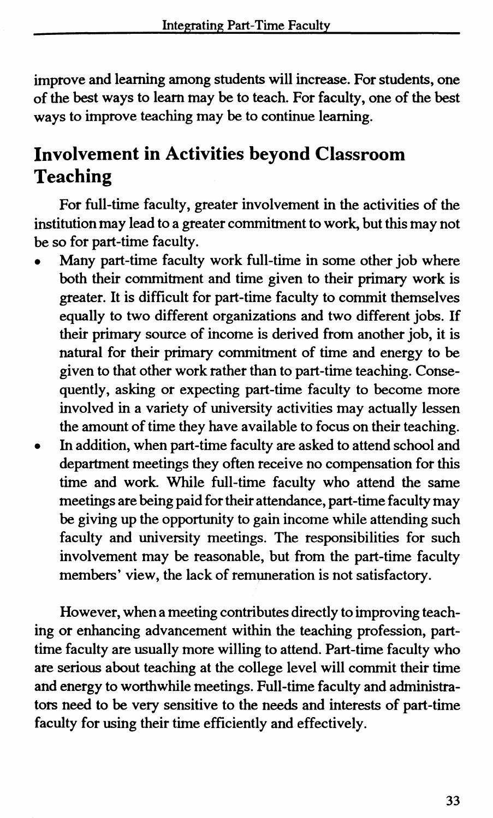improve and learning among students will increase. For students, one of the best ways to learn may be to teach. For faculty, one of the best ways to improve teaching may be to continue learning.

## **Involvement in Activities beyond Classroom Teaching**

For full-time faculty, greater involvement in the activities of the institution may lead to a greater commitment to work, but this may not be so for part-time faculty.

- Many part-time faculty work full-time in some other job where both their commitment and time given to their primary work is greater. It is difficult for part-time faculty to commit themselves equally to two different organizations and two different jobs. If their primary source of income is derived from another job, it is natural for their primary commitment of time and energy to be given to that other work rather than to part-time teaching. Consequently, asking or expecting part-time faculty to become more involved in a variety of university activities may actually lessen the amount of time they have available to focus on their teaching.
- In addition, when part-time faculty are asked to attend school and department meetings they often receive no compensation for this time and work. While full-time faculty who attend the same meetings are being paid for their attendance, part-time faculty may be giving up the opportunity to gain income while attending such faculty and university meetings. The responsibilities for such involvement may be reasonable, but from the part-time faculty members' view, the lack of remuneration is not satisfactory.

However, when a meeting contributes directly to improving teaching or enhancing advancement within the teaching profession, parttime faculty are usually more willing to attend. Part-time faculty who are serious about teaching at the college level will commit their time and energy to worthwhile meetings. Full-time faculty and administrators need to be very sensitive to the needs and interests of part-time faculty for using their time efficiently and effectively.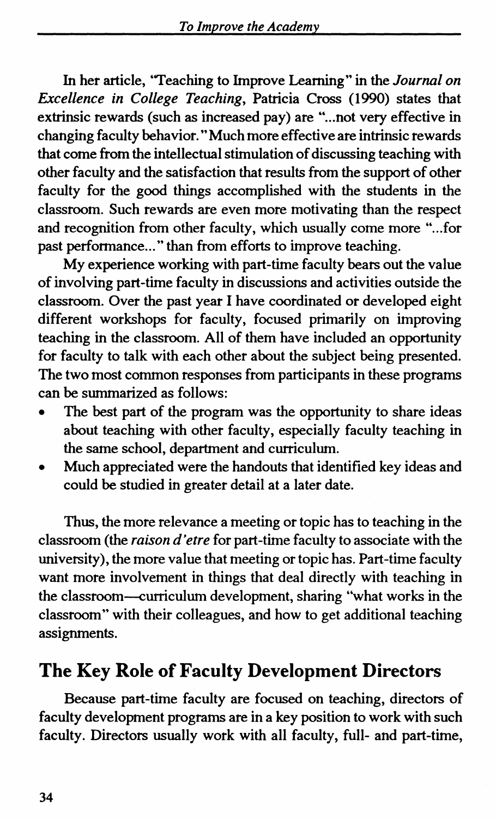In her article, "Teaching to Improve Learning" in the *Journal on Excellence in College Teaching,* Patricia Cross (1990) states that extrinsic rewards (such as increased pay) are "... not very effective in changing faculty behavior." Much more effective are intrinsic rewards that come from the intellectual stimulation of discussing teaching with other faculty and the satisfaction that results from the support of other faculty for the good things accomplished with the students in the classroom. Such rewards are even more motivating than the respect and recognition from other faculty, which usually come more "... for past performance..." than from efforts to improve teaching.

My experience working with part-time faculty bears out the value of involving part-time faculty in discussions and activities outside the classroom. Over the past year I have coordinated or developed eight different workshops for faculty, focused primarily on improving teaching in the classroom. All of them have included an opportunity for faculty to talk with each other about the subject being presented. The two most common responses from participants in these programs can be summarized as follows:

- The best part of the program was the opportunity to share ideas about teaching with other faculty, especially faculty teaching in the same school, department and curriculum.
- Much appreciated were the handouts that identified key ideas and could be studied in greater detail at a later date.

Thus, the more relevance a meeting or topic has to teaching in the classroom (the *raison d'etre* for part-time faculty to associate with the university), the more value that meeting or topic has. Part-time faculty want more involvement in things that deal directly with teaching in the classroom-curriculum development, sharing "what works in the classroom" with their colleagues, and how to get additional teaching assignments.

#### **The Key Role of Faculty Development Directors**

Because part-time faculty are focused on teaching, directors of faculty development programs are in a key position to work with such faculty. Directors usually work with all faculty, full- and part-time,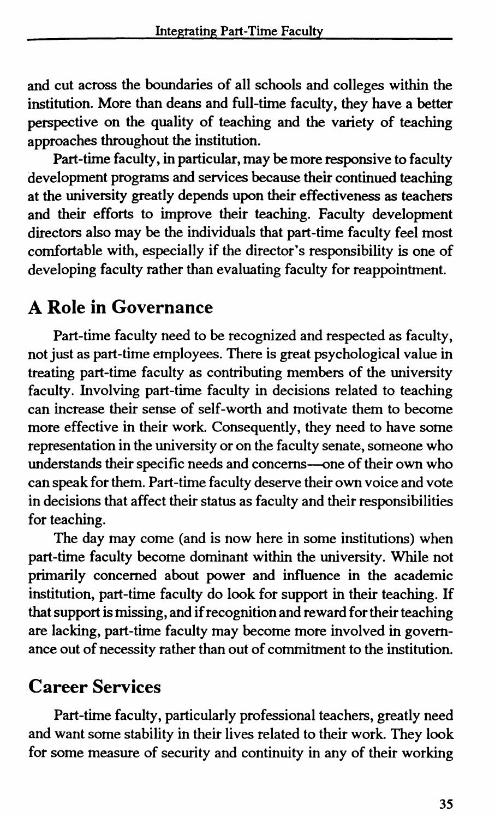and cut across the boundaries of all schools and colleges within the institution. More than deans and full-time faculty, they have a better perspective on the quality of teaching and the variety of teaching approaches throughout the institution.

Part-time faculty, in particular, may be more responsive to faculty development programs and services because their continued teaching at the university greatly depends upon their effectiveness as teachers and their efforts to improve their teaching. Faculty development directors also may be the individuals that part-time faculty feel most comfortable with, especially if the director's responsibility is one of developing faculty rather than evaluating faculty for reappointment.

#### **A Role in Governance**

Part-time faculty need to be recognized and respected as faculty, not just as part-time employees. There is great psychological value in treating part-time faculty as contributing members of the university faculty. Involving part-time faculty in decisions related to teaching can increase their sense of self-worth and motivate them to become more effective in their work. Consequently, they need to have some representation in the university or on the faculty senate, someone who understands their specific needs and concerns--one of their own who can speak for them. Part -time faculty deserve their own voice and vote in decisions that affect their status as faculty and their responsibilities for teaching.

The day may come (and is now here in some institutions) when part-time faculty become dominant within the university. While not primarily concerned about power and influence in the academic institution, part-time faculty do look for support in their teaching. If that support is missing, and if recognition and reward for their teaching are lacking, part-time faculty may become more involved in governance out of necessity rather than out of commitment to the institution.

#### **Career Services**

Part-time faculty, particularly professional teachers, greatly need and want some stability in their lives related to their work. They look for some measure of security and continuity in any of their working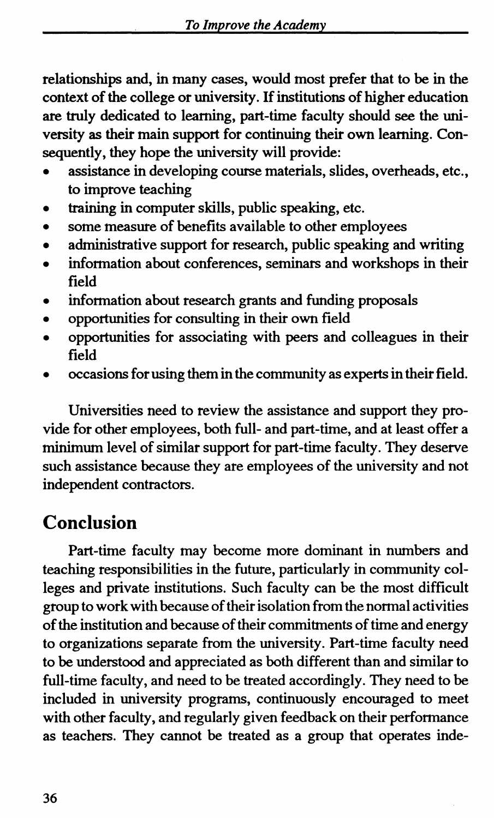relationships and, in many cases, would most prefer that to be in the context of the college or university. If institutions of higher education are truly dedicated to learning, part-time faculty should see the university as their main support for continuing their own learning. Consequently, they hope the university will provide:

- assistance in developing course materials, slides, overheads, etc., to improve teaching
- training in computer skills, public speaking, etc.
- some measure of benefits available to other employees
- administrative support for research, public speaking and writing
- information about conferences, seminars and workshops in their field
- information about research grants and funding proposals
- opportunities for consulting in their own field
- opportunities for associating with peers and colleagues in their field
- occasions for using them in the community as experts in their field.

Universities need to review the assistance and support they provide for other employees, both full- and part-time, and at least offer a minimum level of similar support for part-time faculty. They deserve such assistance because they are employees of the university and not independent contractors.

## **Conclusion**

Part-time faculty may become more dominant in numbers and teaching responsibilities in the future, particularly in community colleges and private institutions. Such faculty can be the most difficult group to work with because of their isolation from the normal activities of the institution and because of their commitments of time and energy to organizations separate from the university. Part-time faculty need to be understood and appreciated as both different than and similar to full-time faculty, and need to be treated accordingly. They need to be included in university programs, continuously encouraged to meet with other faculty, and regularly given feedback on their performance as teachers. They cannot be treated as a group that operates inde